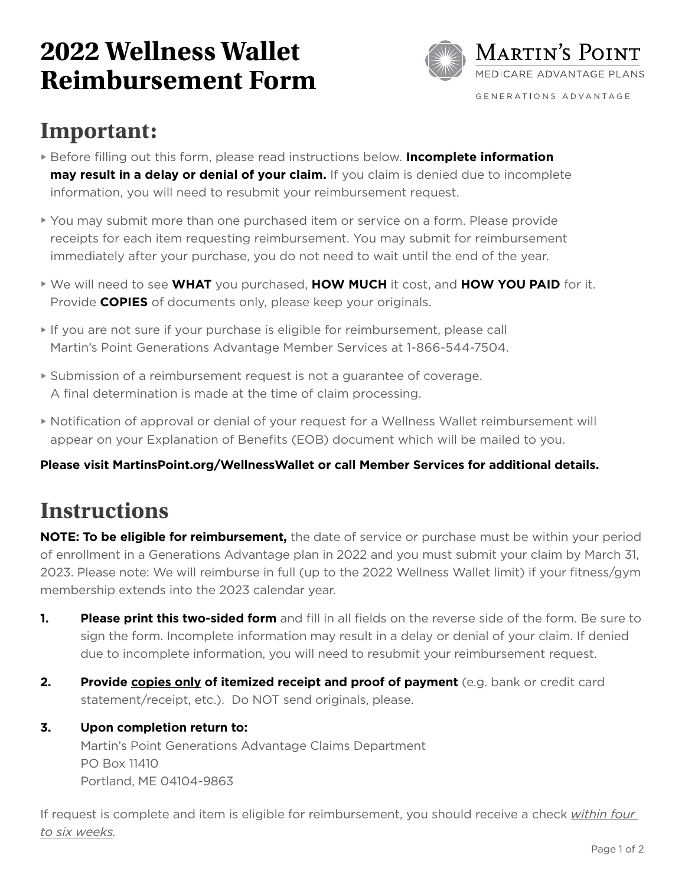# **2022 Wellness Wallet Reimbursement Form**



# **Important:**

- Before filling out this form, please read instructions below. **Incomplete information may result in a delay or denial of your claim.** If you claim is denied due to incomplete information, you will need to resubmit your reimbursement request.
- You may submit more than one purchased item or service on a form. Please provide receipts for each item requesting reimbursement. You may submit for reimbursement immediately after your purchase, you do not need to wait until the end of the year.
- We will need to see **WHAT** you purchased, **HOW MUCH** it cost, and **HOW YOU PAID** for it. Provide **COPIES** of documents only, please keep your originals.
- If you are not sure if your purchase is eligible for reimbursement, please call Martin's Point Generations Advantage Member Services at 1-866-544-7504.
- Submission of a reimbursement request is not a guarantee of coverage. A final determination is made at the time of claim processing.
- Notification of approval or denial of your request for a Wellness Wallet reimbursement will appear on your Explanation of Benefits (EOB) document which will be mailed to you.

#### **Please visit MartinsPoint.org/WellnessWallet or call Member Services for additional details.**

## **Instructions**

**NOTE: To be eligible for reimbursement,** the date of service or purchase must be within your period of enrollment in a Generations Advantage plan in 2022 and you must submit your claim by March 31, 2023. Please note: We will reimburse in full (up to the 2022 Wellness Wallet limit) if your fitness/gym membership extends into the 2023 calendar year.

- **1. Please print this two-sided form** and fill in all fields on the reverse side of the form. Be sure to sign the form. Incomplete information may result in a delay or denial of your claim. If denied due to incomplete information, you will need to resubmit your reimbursement request.
- **2. Provide copies only of itemized receipt and proof of payment** (e.g. bank or credit card statement/receipt, etc.). Do NOT send originals, please.

#### **3. Upon completion return to:**

Martin's Point Generations Advantage Claims Department PO Box 11410 Portland, ME 04104-9863

If request is complete and item is eligible for reimbursement, you should receive a check *within four to six weeks.*